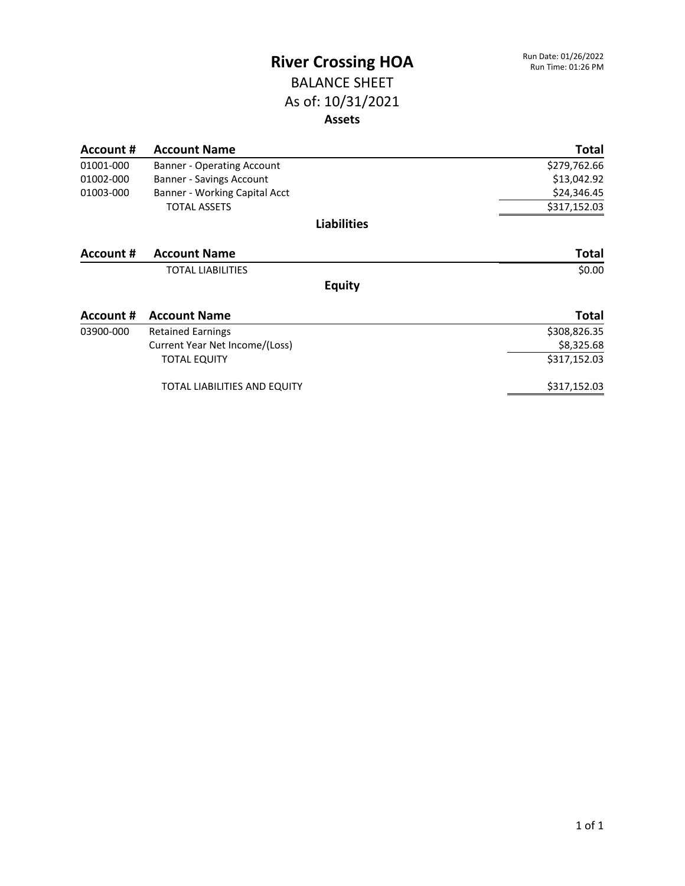#### BALANCE SHEET As of: 10/31/2021 **Assets**

| Account # | <b>Account Name</b>               | Total        |
|-----------|-----------------------------------|--------------|
| 01001-000 | <b>Banner - Operating Account</b> | \$279,762.66 |
| 01002-000 | Banner - Savings Account          | \$13,042.92  |
| 01003-000 | Banner - Working Capital Acct     | \$24,346.45  |
|           | <b>TOTAL ASSETS</b>               | \$317,152.03 |
|           | <b>Liabilities</b>                |              |
| Account # | <b>Account Name</b>               | <b>Total</b> |
|           | <b>TOTAL LIABILITIES</b>          | \$0.00       |
|           | <b>Equity</b>                     |              |
| Account # | <b>Account Name</b>               | <b>Total</b> |
| 03900-000 | <b>Retained Earnings</b>          | \$308,826.35 |
|           | Current Year Net Income/(Loss)    | \$8,325.68   |
|           | <b>TOTAL EQUITY</b>               | \$317,152.03 |
|           | TOTAL LIABILITIES AND EQUITY      | \$317,152.03 |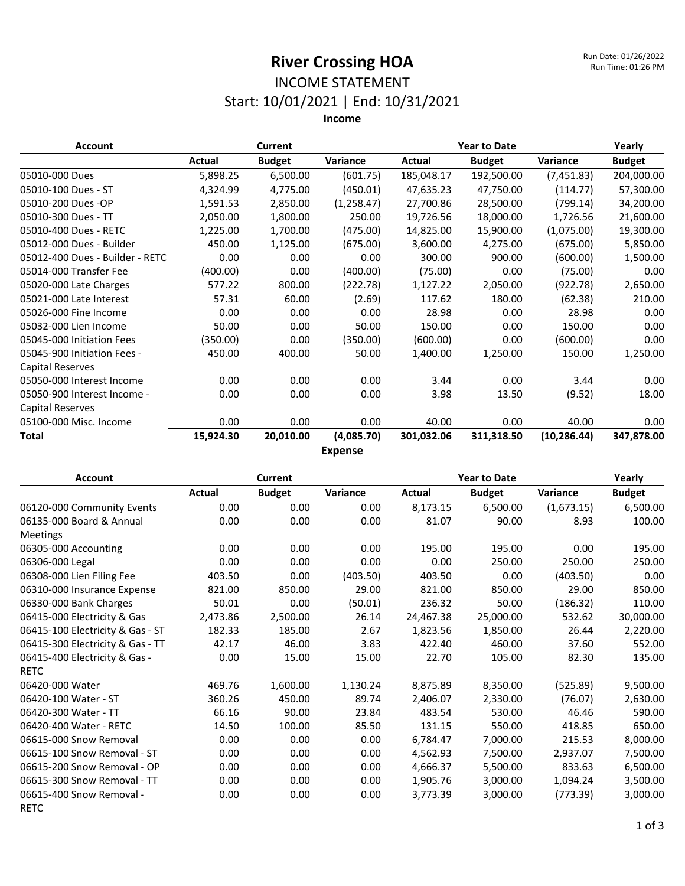#### INCOME STATEMENT Start: 10/01/2021 | End: 10/31/2021

| <b>Account</b>                  |           | <b>Current</b> |             |            | <b>Year to Date</b> |              | Yearly        |  |  |
|---------------------------------|-----------|----------------|-------------|------------|---------------------|--------------|---------------|--|--|
|                                 | Actual    | <b>Budget</b>  | Variance    | Actual     | <b>Budget</b>       | Variance     | <b>Budget</b> |  |  |
| 05010-000 Dues                  | 5,898.25  | 6,500.00       | (601.75)    | 185,048.17 | 192,500.00          | (7,451.83)   | 204,000.00    |  |  |
| 05010-100 Dues - ST             | 4,324.99  | 4,775.00       | (450.01)    | 47,635.23  | 47,750.00           | (114.77)     | 57,300.00     |  |  |
| 05010-200 Dues -OP              | 1,591.53  | 2,850.00       | (1, 258.47) | 27,700.86  | 28,500.00           | (799.14)     | 34,200.00     |  |  |
| 05010-300 Dues - TT             | 2,050.00  | 1,800.00       | 250.00      | 19,726.56  | 18,000.00           | 1,726.56     | 21,600.00     |  |  |
| 05010-400 Dues - RETC           | 1,225.00  | 1,700.00       | (475.00)    | 14,825.00  | 15,900.00           | (1,075.00)   | 19,300.00     |  |  |
| 05012-000 Dues - Builder        | 450.00    | 1,125.00       | (675.00)    | 3,600.00   | 4,275.00            | (675.00)     | 5,850.00      |  |  |
| 05012-400 Dues - Builder - RETC | 0.00      | 0.00           | 0.00        | 300.00     | 900.00              | (600.00)     | 1,500.00      |  |  |
| 05014-000 Transfer Fee          | (400.00)  | 0.00           | (400.00)    | (75.00)    | 0.00                | (75.00)      | 0.00          |  |  |
| 05020-000 Late Charges          | 577.22    | 800.00         | (222.78)    | 1,127.22   | 2,050.00            | (922.78)     | 2,650.00      |  |  |
| 05021-000 Late Interest         | 57.31     | 60.00          | (2.69)      | 117.62     | 180.00              | (62.38)      | 210.00        |  |  |
| 05026-000 Fine Income           | 0.00      | 0.00           | 0.00        | 28.98      | 0.00                | 28.98        | 0.00          |  |  |
| 05032-000 Lien Income           | 50.00     | 0.00           | 50.00       | 150.00     | 0.00                | 150.00       | 0.00          |  |  |
| 05045-000 Initiation Fees       | (350.00)  | 0.00           | (350.00)    | (600.00)   | 0.00                | (600.00)     | 0.00          |  |  |
| 05045-900 Initiation Fees -     | 450.00    | 400.00         | 50.00       | 1,400.00   | 1,250.00            | 150.00       | 1,250.00      |  |  |
| <b>Capital Reserves</b>         |           |                |             |            |                     |              |               |  |  |
| 05050-000 Interest Income       | 0.00      | 0.00           | 0.00        | 3.44       | 0.00                | 3.44         | 0.00          |  |  |
| 05050-900 Interest Income -     | 0.00      | 0.00           | 0.00        | 3.98       | 13.50               | (9.52)       | 18.00         |  |  |
| <b>Capital Reserves</b>         |           |                |             |            |                     |              |               |  |  |
| 05100-000 Misc. Income          | 0.00      | 0.00           | 0.00        | 40.00      | 0.00                | 40.00        | 0.00          |  |  |
| Total                           | 15,924.30 | 20,010.00      | (4,085.70)  | 301,032.06 | 311,318.50          | (10, 286.44) | 347,878.00    |  |  |
| <b>Expense</b>                  |           |                |             |            |                     |              |               |  |  |

| <b>Account</b>                   |          | <b>Current</b> |          |           | <b>Year to Date</b> |            |               |
|----------------------------------|----------|----------------|----------|-----------|---------------------|------------|---------------|
|                                  | Actual   | <b>Budget</b>  | Variance | Actual    | <b>Budget</b>       | Variance   | <b>Budget</b> |
| 06120-000 Community Events       | 0.00     | 0.00           | 0.00     | 8,173.15  | 6,500.00            | (1,673.15) | 6,500.00      |
| 06135-000 Board & Annual         | 0.00     | 0.00           | 0.00     | 81.07     | 90.00               | 8.93       | 100.00        |
| Meetings                         |          |                |          |           |                     |            |               |
| 06305-000 Accounting             | 0.00     | 0.00           | 0.00     | 195.00    | 195.00              | 0.00       | 195.00        |
| 06306-000 Legal                  | 0.00     | 0.00           | 0.00     | 0.00      | 250.00              | 250.00     | 250.00        |
| 06308-000 Lien Filing Fee        | 403.50   | 0.00           | (403.50) | 403.50    | 0.00                | (403.50)   | 0.00          |
| 06310-000 Insurance Expense      | 821.00   | 850.00         | 29.00    | 821.00    | 850.00              | 29.00      | 850.00        |
| 06330-000 Bank Charges           | 50.01    | 0.00           | (50.01)  | 236.32    | 50.00               | (186.32)   | 110.00        |
| 06415-000 Electricity & Gas      | 2,473.86 | 2,500.00       | 26.14    | 24,467.38 | 25,000.00           | 532.62     | 30,000.00     |
| 06415-100 Electricity & Gas - ST | 182.33   | 185.00         | 2.67     | 1,823.56  | 1,850.00            | 26.44      | 2,220.00      |
| 06415-300 Electricity & Gas - TT | 42.17    | 46.00          | 3.83     | 422.40    | 460.00              | 37.60      | 552.00        |
| 06415-400 Electricity & Gas -    | 0.00     | 15.00          | 15.00    | 22.70     | 105.00              | 82.30      | 135.00        |
| <b>RETC</b>                      |          |                |          |           |                     |            |               |
| 06420-000 Water                  | 469.76   | 1,600.00       | 1,130.24 | 8,875.89  | 8,350.00            | (525.89)   | 9,500.00      |
| 06420-100 Water - ST             | 360.26   | 450.00         | 89.74    | 2,406.07  | 2,330.00            | (76.07)    | 2,630.00      |
| 06420-300 Water - TT             | 66.16    | 90.00          | 23.84    | 483.54    | 530.00              | 46.46      | 590.00        |
| 06420-400 Water - RETC           | 14.50    | 100.00         | 85.50    | 131.15    | 550.00              | 418.85     | 650.00        |
| 06615-000 Snow Removal           | 0.00     | 0.00           | 0.00     | 6,784.47  | 7,000.00            | 215.53     | 8,000.00      |
| 06615-100 Snow Removal - ST      | 0.00     | 0.00           | 0.00     | 4,562.93  | 7,500.00            | 2,937.07   | 7,500.00      |
| 06615-200 Snow Removal - OP      | 0.00     | 0.00           | 0.00     | 4,666.37  | 5,500.00            | 833.63     | 6,500.00      |
| 06615-300 Snow Removal - TT      | 0.00     | 0.00           | 0.00     | 1,905.76  | 3,000.00            | 1,094.24   | 3,500.00      |
| 06615-400 Snow Removal -         | 0.00     | 0.00           | 0.00     | 3,773.39  | 3,000.00            | (773.39)   | 3,000.00      |
| <b>RETC</b>                      |          |                |          |           |                     |            |               |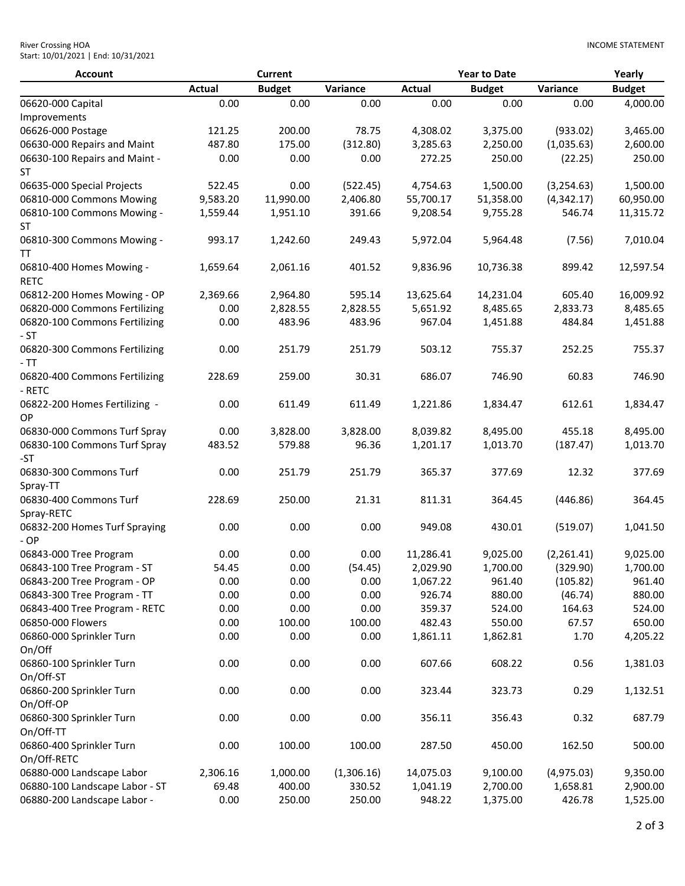| <b>River Crossing HOA</b>           |  |
|-------------------------------------|--|
| Start: 10/01/2021   End: 10/31/2021 |  |

| <b>Account</b>                             |               | Current       |            |               | <b>Year to Date</b> |            | Yearly        |
|--------------------------------------------|---------------|---------------|------------|---------------|---------------------|------------|---------------|
|                                            | <b>Actual</b> | <b>Budget</b> | Variance   | <b>Actual</b> | <b>Budget</b>       | Variance   | <b>Budget</b> |
| 06620-000 Capital                          | 0.00          | 0.00          | 0.00       | 0.00          | 0.00                | 0.00       | 4,000.00      |
| Improvements                               |               |               |            |               |                     |            |               |
| 06626-000 Postage                          | 121.25        | 200.00        | 78.75      | 4,308.02      | 3,375.00            | (933.02)   | 3,465.00      |
| 06630-000 Repairs and Maint                | 487.80        | 175.00        | (312.80)   | 3,285.63      | 2,250.00            | (1,035.63) | 2,600.00      |
| 06630-100 Repairs and Maint -<br><b>ST</b> | 0.00          | 0.00          | 0.00       | 272.25        | 250.00              | (22.25)    | 250.00        |
| 06635-000 Special Projects                 | 522.45        | 0.00          | (522.45)   | 4,754.63      | 1,500.00            | (3,254.63) | 1,500.00      |
| 06810-000 Commons Mowing                   | 9,583.20      | 11,990.00     | 2,406.80   | 55,700.17     | 51,358.00           | (4,342.17) | 60,950.00     |
| 06810-100 Commons Mowing -<br>ST           | 1,559.44      | 1,951.10      | 391.66     | 9,208.54      | 9,755.28            | 546.74     | 11,315.72     |
| 06810-300 Commons Mowing -<br>TT           | 993.17        | 1,242.60      | 249.43     | 5,972.04      | 5,964.48            | (7.56)     | 7,010.04      |
| 06810-400 Homes Mowing -<br><b>RETC</b>    | 1,659.64      | 2,061.16      | 401.52     | 9,836.96      | 10,736.38           | 899.42     | 12,597.54     |
| 06812-200 Homes Mowing - OP                | 2,369.66      | 2,964.80      | 595.14     | 13,625.64     | 14,231.04           | 605.40     | 16,009.92     |
| 06820-000 Commons Fertilizing              | 0.00          | 2,828.55      | 2,828.55   | 5,651.92      | 8,485.65            | 2,833.73   | 8,485.65      |
| 06820-100 Commons Fertilizing<br>- ST      | 0.00          | 483.96        | 483.96     | 967.04        | 1,451.88            | 484.84     | 1,451.88      |
| 06820-300 Commons Fertilizing<br>- TT      | 0.00          | 251.79        | 251.79     | 503.12        | 755.37              | 252.25     | 755.37        |
| 06820-400 Commons Fertilizing<br>- RETC    | 228.69        | 259.00        | 30.31      | 686.07        | 746.90              | 60.83      | 746.90        |
| 06822-200 Homes Fertilizing -<br><b>OP</b> | 0.00          | 611.49        | 611.49     | 1,221.86      | 1,834.47            | 612.61     | 1,834.47      |
| 06830-000 Commons Turf Spray               | 0.00          | 3,828.00      | 3,828.00   | 8,039.82      | 8,495.00            | 455.18     | 8,495.00      |
| 06830-100 Commons Turf Spray<br>-ST        | 483.52        | 579.88        | 96.36      | 1,201.17      | 1,013.70            | (187.47)   | 1,013.70      |
| 06830-300 Commons Turf<br>Spray-TT         | 0.00          | 251.79        | 251.79     | 365.37        | 377.69              | 12.32      | 377.69        |
| 06830-400 Commons Turf<br>Spray-RETC       | 228.69        | 250.00        | 21.31      | 811.31        | 364.45              | (446.86)   | 364.45        |
| 06832-200 Homes Turf Spraying<br>$-OP$     | 0.00          | 0.00          | 0.00       | 949.08        | 430.01              | (519.07)   | 1,041.50      |
| 06843-000 Tree Program                     | 0.00          | 0.00          | 0.00       | 11,286.41     | 9,025.00            | (2,261.41) | 9,025.00      |
| 06843-100 Tree Program - ST                | 54.45         | 0.00          | (54.45)    | 2,029.90      | 1,700.00            | (329.90)   | 1,700.00      |
| 06843-200 Tree Program - OP                | 0.00          | 0.00          | 0.00       | 1,067.22      | 961.40              | (105.82)   | 961.40        |
| 06843-300 Tree Program - TT                | 0.00          | 0.00          | 0.00       | 926.74        | 880.00              | (46.74)    | 880.00        |
| 06843-400 Tree Program - RETC              | 0.00          | 0.00          | 0.00       | 359.37        | 524.00              | 164.63     | 524.00        |
| 06850-000 Flowers                          | 0.00          | 100.00        | 100.00     | 482.43        | 550.00              | 67.57      | 650.00        |
| 06860-000 Sprinkler Turn<br>On/Off         | 0.00          | 0.00          | 0.00       | 1,861.11      | 1,862.81            | 1.70       | 4,205.22      |
| 06860-100 Sprinkler Turn<br>On/Off-ST      | 0.00          | 0.00          | 0.00       | 607.66        | 608.22              | 0.56       | 1,381.03      |
| 06860-200 Sprinkler Turn<br>On/Off-OP      | 0.00          | 0.00          | 0.00       | 323.44        | 323.73              | 0.29       | 1,132.51      |
| 06860-300 Sprinkler Turn<br>On/Off-TT      | 0.00          | 0.00          | 0.00       | 356.11        | 356.43              | 0.32       | 687.79        |
| 06860-400 Sprinkler Turn<br>On/Off-RETC    | 0.00          | 100.00        | 100.00     | 287.50        | 450.00              | 162.50     | 500.00        |
| 06880-000 Landscape Labor                  | 2,306.16      | 1,000.00      | (1,306.16) | 14,075.03     | 9,100.00            | (4,975.03) | 9,350.00      |
| 06880-100 Landscape Labor - ST             | 69.48         | 400.00        | 330.52     | 1,041.19      | 2,700.00            | 1,658.81   | 2,900.00      |
| 06880-200 Landscape Labor -                | 0.00          | 250.00        | 250.00     | 948.22        | 1,375.00            | 426.78     | 1,525.00      |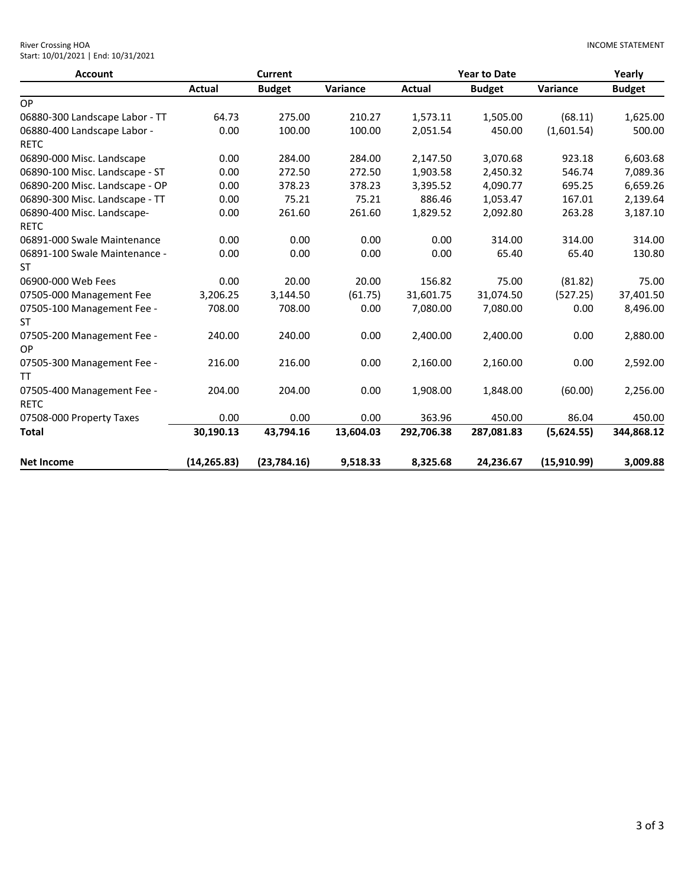| <b>Account</b><br>OP<br>06880-300 Landscape Labor - TT<br>06880-400 Landscape Labor -<br><b>RETC</b><br>06890-000 Misc. Landscape<br>06890-100 Misc. Landscape - ST<br>06890-200 Misc. Landscape - OP<br>06890-300 Misc. Landscape - TT<br>06890-400 Misc. Landscape-<br><b>RETC</b><br>06891-000 Swale Maintenance<br>06891-100 Swale Maintenance -<br><b>ST</b><br>06900-000 Web Fees<br>07505-000 Management Fee<br>07505-100 Management Fee -<br><b>ST</b> |               | <b>Current</b> |           | <b>Year to Date</b> |               |             | Yearly        |
|----------------------------------------------------------------------------------------------------------------------------------------------------------------------------------------------------------------------------------------------------------------------------------------------------------------------------------------------------------------------------------------------------------------------------------------------------------------|---------------|----------------|-----------|---------------------|---------------|-------------|---------------|
|                                                                                                                                                                                                                                                                                                                                                                                                                                                                | <b>Actual</b> | <b>Budget</b>  | Variance  | Actual              | <b>Budget</b> | Variance    | <b>Budget</b> |
|                                                                                                                                                                                                                                                                                                                                                                                                                                                                |               |                |           |                     |               |             |               |
|                                                                                                                                                                                                                                                                                                                                                                                                                                                                | 64.73         | 275.00         | 210.27    | 1,573.11            | 1,505.00      | (68.11)     | 1,625.00      |
|                                                                                                                                                                                                                                                                                                                                                                                                                                                                | 0.00          | 100.00         | 100.00    | 2,051.54            | 450.00        | (1,601.54)  | 500.00        |
|                                                                                                                                                                                                                                                                                                                                                                                                                                                                |               |                |           |                     |               |             |               |
|                                                                                                                                                                                                                                                                                                                                                                                                                                                                | 0.00          | 284.00         | 284.00    | 2,147.50            | 3,070.68      | 923.18      | 6,603.68      |
|                                                                                                                                                                                                                                                                                                                                                                                                                                                                | 0.00          | 272.50         | 272.50    | 1,903.58            | 2,450.32      | 546.74      | 7,089.36      |
|                                                                                                                                                                                                                                                                                                                                                                                                                                                                | 0.00          | 378.23         | 378.23    | 3,395.52            | 4,090.77      | 695.25      | 6,659.26      |
|                                                                                                                                                                                                                                                                                                                                                                                                                                                                | 0.00          | 75.21          | 75.21     | 886.46              | 1,053.47      | 167.01      | 2,139.64      |
|                                                                                                                                                                                                                                                                                                                                                                                                                                                                | 0.00          | 261.60         | 261.60    | 1,829.52            | 2,092.80      | 263.28      | 3,187.10      |
|                                                                                                                                                                                                                                                                                                                                                                                                                                                                |               |                |           |                     |               |             |               |
|                                                                                                                                                                                                                                                                                                                                                                                                                                                                | 0.00          | 0.00           | 0.00      | 0.00                | 314.00        | 314.00      | 314.00        |
|                                                                                                                                                                                                                                                                                                                                                                                                                                                                | 0.00          | 0.00           | 0.00      | 0.00                | 65.40         | 65.40       | 130.80        |
|                                                                                                                                                                                                                                                                                                                                                                                                                                                                |               |                |           |                     |               |             |               |
|                                                                                                                                                                                                                                                                                                                                                                                                                                                                | 0.00          | 20.00          | 20.00     | 156.82              | 75.00         | (81.82)     | 75.00         |
|                                                                                                                                                                                                                                                                                                                                                                                                                                                                | 3,206.25      | 3,144.50       | (61.75)   | 31,601.75           | 31,074.50     | (527.25)    | 37,401.50     |
|                                                                                                                                                                                                                                                                                                                                                                                                                                                                | 708.00        | 708.00         | 0.00      | 7,080.00            | 7,080.00      | 0.00        | 8,496.00      |
|                                                                                                                                                                                                                                                                                                                                                                                                                                                                |               |                |           |                     |               |             |               |
| 07505-200 Management Fee -                                                                                                                                                                                                                                                                                                                                                                                                                                     | 240.00        | 240.00         | 0.00      | 2,400.00            | 2,400.00      | 0.00        | 2,880.00      |
| OP                                                                                                                                                                                                                                                                                                                                                                                                                                                             |               |                |           |                     |               |             |               |
| 07505-300 Management Fee -                                                                                                                                                                                                                                                                                                                                                                                                                                     | 216.00        | 216.00         | 0.00      | 2,160.00            | 2,160.00      | 0.00        | 2,592.00      |
| TT                                                                                                                                                                                                                                                                                                                                                                                                                                                             |               |                |           |                     |               |             |               |
| 07505-400 Management Fee -                                                                                                                                                                                                                                                                                                                                                                                                                                     | 204.00        | 204.00         | 0.00      | 1,908.00            | 1,848.00      | (60.00)     | 2,256.00      |
| <b>RETC</b>                                                                                                                                                                                                                                                                                                                                                                                                                                                    |               |                |           |                     |               |             |               |
| 07508-000 Property Taxes                                                                                                                                                                                                                                                                                                                                                                                                                                       | 0.00          | 0.00           | 0.00      | 363.96              | 450.00        | 86.04       | 450.00        |
| Total                                                                                                                                                                                                                                                                                                                                                                                                                                                          | 30,190.13     | 43,794.16      | 13,604.03 | 292,706.38          | 287,081.83    | (5,624.55)  | 344,868.12    |
| <b>Net Income</b>                                                                                                                                                                                                                                                                                                                                                                                                                                              | (14, 265.83)  | (23,784.16)    | 9,518.33  | 8,325.68            | 24,236.67     | (15,910.99) | 3,009.88      |

#### River Crossing HOA Start: 10/01/2021 | End: 10/31/2021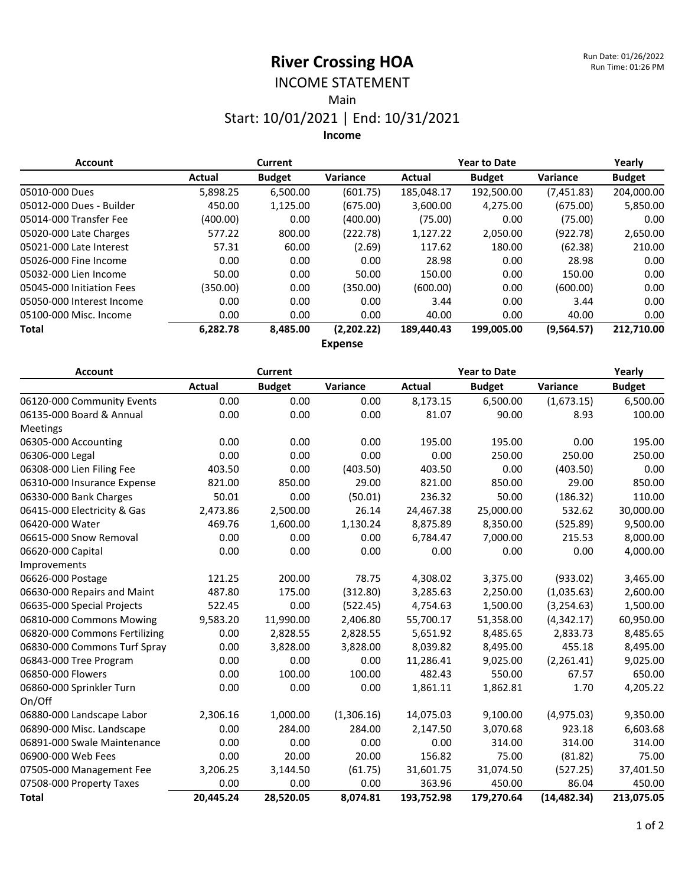#### INCOME STATEMENT

Main

#### Start: 10/01/2021 | End: 10/31/2021

**Income**

| <b>Account</b>            |          | <b>Current</b> |            |            | <b>Year to Date</b> |             | Yearly        |
|---------------------------|----------|----------------|------------|------------|---------------------|-------------|---------------|
|                           | Actual   | <b>Budget</b>  | Variance   | Actual     | <b>Budget</b>       | Variance    | <b>Budget</b> |
| 05010-000 Dues            | 5,898.25 | 6,500.00       | (601.75)   | 185,048.17 | 192,500.00          | (7,451.83)  | 204,000.00    |
| 05012-000 Dues - Builder  | 450.00   | 1,125.00       | (675.00)   | 3,600.00   | 4.275.00            | (675.00)    | 5,850.00      |
| 05014-000 Transfer Fee    | (400.00) | 0.00           | (400.00)   | (75.00)    | 0.00                | (75.00)     | 0.00          |
| 05020-000 Late Charges    | 577.22   | 800.00         | (222.78)   | 1,127.22   | 2,050.00            | (922.78)    | 2,650.00      |
| 05021-000 Late Interest   | 57.31    | 60.00          | (2.69)     | 117.62     | 180.00              | (62.38)     | 210.00        |
| 05026-000 Fine Income     | 0.00     | 0.00           | 0.00       | 28.98      | 0.00                | 28.98       | 0.00          |
| 05032-000 Lien Income     | 50.00    | 0.00           | 50.00      | 150.00     | 0.00                | 150.00      | 0.00          |
| 05045-000 Initiation Fees | (350.00) | 0.00           | (350.00)   | (600.00)   | 0.00                | (600.00)    | 0.00          |
| 05050-000 Interest Income | 0.00     | 0.00           | 0.00       | 3.44       | 0.00                | 3.44        | 0.00          |
| 05100-000 Misc. Income    | 0.00     | 0.00           | 0.00       | 40.00      | 0.00                | 40.00       | 0.00          |
| <b>Total</b>              | 6,282.78 | 8,485.00       | (2,202.22) | 189,440.43 | 199,005.00          | (9, 564.57) | 212,710.00    |

**Expense**

| <b>Account</b>                | <b>Current</b> |               |            | <b>Year to Date</b> |               |              | Yearly        |
|-------------------------------|----------------|---------------|------------|---------------------|---------------|--------------|---------------|
|                               | Actual         | <b>Budget</b> | Variance   | <b>Actual</b>       | <b>Budget</b> | Variance     | <b>Budget</b> |
| 06120-000 Community Events    | 0.00           | 0.00          | 0.00       | 8,173.15            | 6,500.00      | (1,673.15)   | 6,500.00      |
| 06135-000 Board & Annual      | 0.00           | 0.00          | 0.00       | 81.07               | 90.00         | 8.93         | 100.00        |
| <b>Meetings</b>               |                |               |            |                     |               |              |               |
| 06305-000 Accounting          | 0.00           | 0.00          | 0.00       | 195.00              | 195.00        | 0.00         | 195.00        |
| 06306-000 Legal               | 0.00           | 0.00          | 0.00       | 0.00                | 250.00        | 250.00       | 250.00        |
| 06308-000 Lien Filing Fee     | 403.50         | 0.00          | (403.50)   | 403.50              | 0.00          | (403.50)     | 0.00          |
| 06310-000 Insurance Expense   | 821.00         | 850.00        | 29.00      | 821.00              | 850.00        | 29.00        | 850.00        |
| 06330-000 Bank Charges        | 50.01          | 0.00          | (50.01)    | 236.32              | 50.00         | (186.32)     | 110.00        |
| 06415-000 Electricity & Gas   | 2,473.86       | 2,500.00      | 26.14      | 24,467.38           | 25,000.00     | 532.62       | 30,000.00     |
| 06420-000 Water               | 469.76         | 1,600.00      | 1,130.24   | 8,875.89            | 8,350.00      | (525.89)     | 9,500.00      |
| 06615-000 Snow Removal        | 0.00           | 0.00          | 0.00       | 6,784.47            | 7,000.00      | 215.53       | 8,000.00      |
| 06620-000 Capital             | 0.00           | 0.00          | 0.00       | 0.00                | 0.00          | 0.00         | 4,000.00      |
| Improvements                  |                |               |            |                     |               |              |               |
| 06626-000 Postage             | 121.25         | 200.00        | 78.75      | 4,308.02            | 3,375.00      | (933.02)     | 3,465.00      |
| 06630-000 Repairs and Maint   | 487.80         | 175.00        | (312.80)   | 3,285.63            | 2,250.00      | (1,035.63)   | 2,600.00      |
| 06635-000 Special Projects    | 522.45         | 0.00          | (522.45)   | 4,754.63            | 1,500.00      | (3, 254.63)  | 1,500.00      |
| 06810-000 Commons Mowing      | 9,583.20       | 11,990.00     | 2,406.80   | 55,700.17           | 51,358.00     | (4,342.17)   | 60,950.00     |
| 06820-000 Commons Fertilizing | 0.00           | 2,828.55      | 2,828.55   | 5,651.92            | 8,485.65      | 2,833.73     | 8,485.65      |
| 06830-000 Commons Turf Spray  | 0.00           | 3,828.00      | 3,828.00   | 8,039.82            | 8,495.00      | 455.18       | 8,495.00      |
| 06843-000 Tree Program        | 0.00           | 0.00          | 0.00       | 11,286.41           | 9,025.00      | (2,261.41)   | 9,025.00      |
| 06850-000 Flowers             | 0.00           | 100.00        | 100.00     | 482.43              | 550.00        | 67.57        | 650.00        |
| 06860-000 Sprinkler Turn      | 0.00           | 0.00          | 0.00       | 1,861.11            | 1,862.81      | 1.70         | 4,205.22      |
| On/Off                        |                |               |            |                     |               |              |               |
| 06880-000 Landscape Labor     | 2,306.16       | 1,000.00      | (1,306.16) | 14,075.03           | 9,100.00      | (4,975.03)   | 9,350.00      |
| 06890-000 Misc. Landscape     | 0.00           | 284.00        | 284.00     | 2,147.50            | 3,070.68      | 923.18       | 6,603.68      |
| 06891-000 Swale Maintenance   | 0.00           | 0.00          | 0.00       | 0.00                | 314.00        | 314.00       | 314.00        |
| 06900-000 Web Fees            | 0.00           | 20.00         | 20.00      | 156.82              | 75.00         | (81.82)      | 75.00         |
| 07505-000 Management Fee      | 3,206.25       | 3,144.50      | (61.75)    | 31,601.75           | 31,074.50     | (527.25)     | 37,401.50     |
| 07508-000 Property Taxes      | 0.00           | 0.00          | 0.00       | 363.96              | 450.00        | 86.04        | 450.00        |
| <b>Total</b>                  | 20,445.24      | 28,520.05     | 8,074.81   | 193,752.98          | 179,270.64    | (14, 482.34) | 213,075.05    |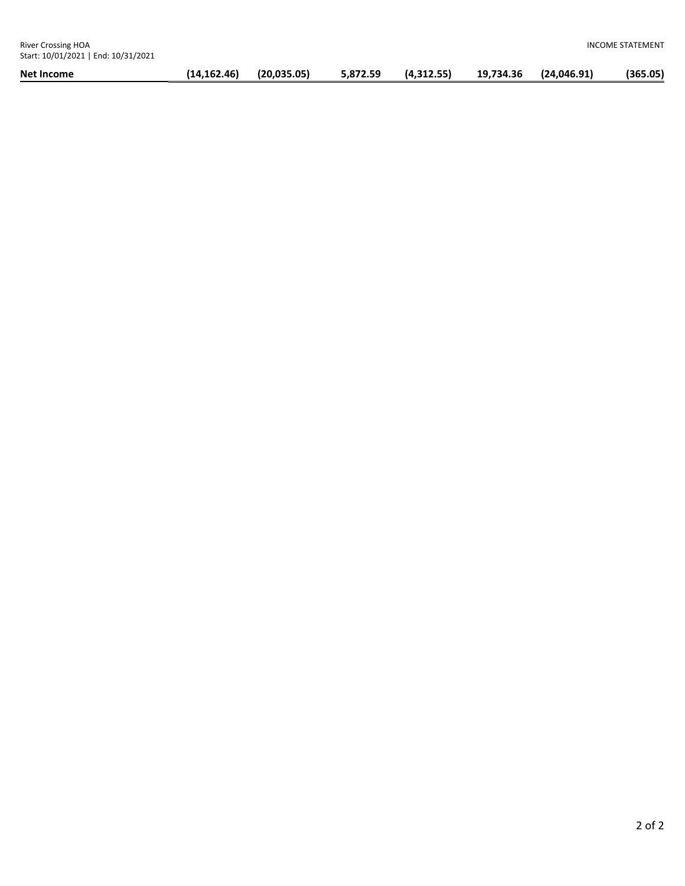| Net Income |             |             | 5,872.59 | (4,312.55) |           |             | (365.05) |
|------------|-------------|-------------|----------|------------|-----------|-------------|----------|
|            | (14.162.46) | (20.035.05) |          |            | 19.734.36 | (24.046.91) |          |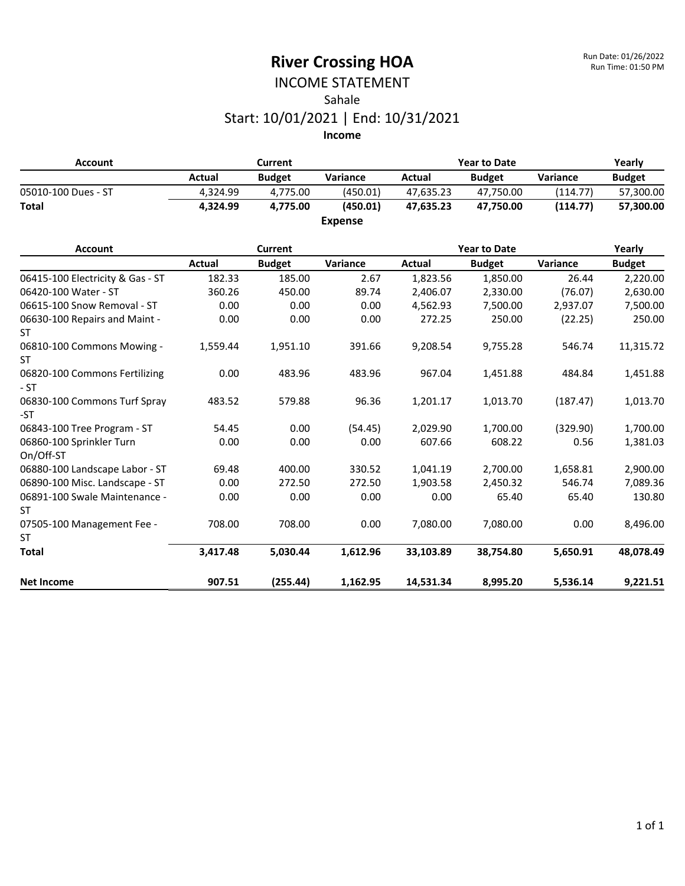#### INCOME STATEMENT Sahale Start: 10/01/2021 | End: 10/31/2021

| <b>Account</b>      |          | Current       |                | <b>Year to Date</b> |               |          | Yearly        |  |
|---------------------|----------|---------------|----------------|---------------------|---------------|----------|---------------|--|
|                     | Actual   | <b>Budget</b> | Variance       | Actual              | <b>Budget</b> | Variance | <b>Budget</b> |  |
| 05010-100 Dues - ST | 4.324.99 | 4.775.00      | (450.01)       | 47.635.23           | 47.750.00     | (114.77) | 57,300.00     |  |
| <b>Total</b>        | 4.324.99 | 4.775.00      | (450.01)       | 47.635.23           | 47.750.00     | (114.77) | 57,300.00     |  |
|                     |          |               | <b>Expense</b> |                     |               |          |               |  |

| <b>Account</b>                         |          | <b>Current</b> |          |           | <b>Year to Date</b> |          | Yearly        |
|----------------------------------------|----------|----------------|----------|-----------|---------------------|----------|---------------|
|                                        | Actual   | <b>Budget</b>  | Variance | Actual    | <b>Budget</b>       | Variance | <b>Budget</b> |
| 06415-100 Electricity & Gas - ST       | 182.33   | 185.00         | 2.67     | 1,823.56  | 1,850.00            | 26.44    | 2,220.00      |
| 06420-100 Water - ST                   | 360.26   | 450.00         | 89.74    | 2,406.07  | 2,330.00            | (76.07)  | 2,630.00      |
| 06615-100 Snow Removal - ST            | 0.00     | 0.00           | 0.00     | 4,562.93  | 7,500.00            | 2,937.07 | 7,500.00      |
| 06630-100 Repairs and Maint -<br>ST    | 0.00     | 0.00           | 0.00     | 272.25    | 250.00              | (22.25)  | 250.00        |
| 06810-100 Commons Mowing -<br>ST.      | 1,559.44 | 1,951.10       | 391.66   | 9,208.54  | 9,755.28            | 546.74   | 11,315.72     |
| 06820-100 Commons Fertilizing<br>$-ST$ | 0.00     | 483.96         | 483.96   | 967.04    | 1,451.88            | 484.84   | 1,451.88      |
| 06830-100 Commons Turf Spray<br>-ST    | 483.52   | 579.88         | 96.36    | 1,201.17  | 1,013.70            | (187.47) | 1,013.70      |
| 06843-100 Tree Program - ST            | 54.45    | 0.00           | (54.45)  | 2,029.90  | 1,700.00            | (329.90) | 1,700.00      |
| 06860-100 Sprinkler Turn<br>On/Off-ST  | 0.00     | 0.00           | 0.00     | 607.66    | 608.22              | 0.56     | 1,381.03      |
| 06880-100 Landscape Labor - ST         | 69.48    | 400.00         | 330.52   | 1,041.19  | 2,700.00            | 1,658.81 | 2,900.00      |
| 06890-100 Misc. Landscape - ST         | 0.00     | 272.50         | 272.50   | 1,903.58  | 2,450.32            | 546.74   | 7,089.36      |
| 06891-100 Swale Maintenance -<br>ST    | 0.00     | 0.00           | 0.00     | 0.00      | 65.40               | 65.40    | 130.80        |
| 07505-100 Management Fee -             | 708.00   | 708.00         | 0.00     | 7,080.00  | 7,080.00            | 0.00     | 8,496.00      |
| ST                                     |          |                |          |           |                     |          |               |
| <b>Total</b>                           | 3,417.48 | 5.030.44       | 1,612.96 | 33,103.89 | 38,754.80           | 5.650.91 | 48,078.49     |
| <b>Net Income</b>                      | 907.51   | (255.44)       | 1,162.95 | 14,531.34 | 8,995.20            | 5.536.14 | 9,221.51      |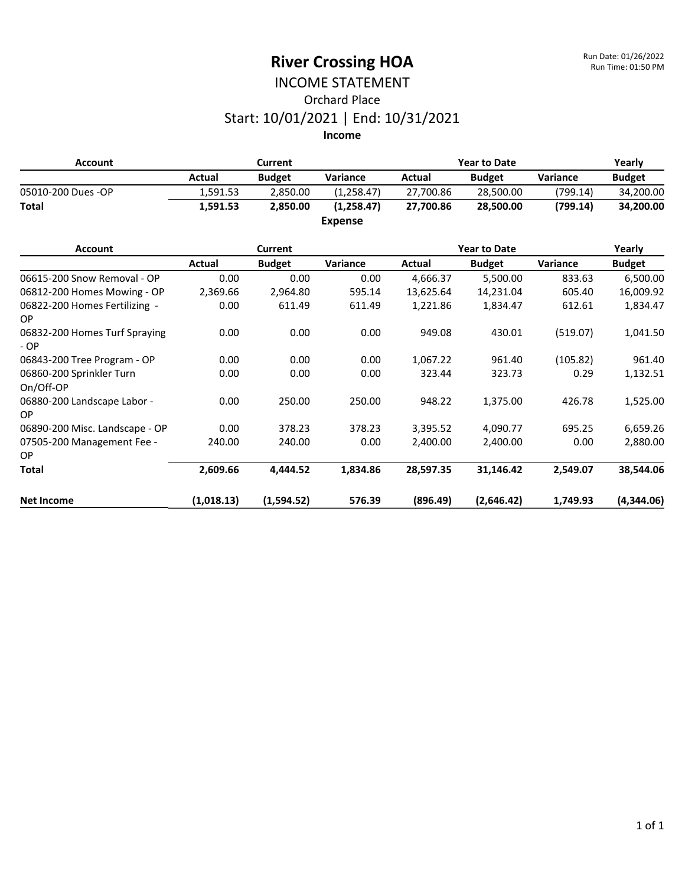# INCOME STATEMENT Orchard Place Start: 10/01/2021 | End: 10/31/2021

| <b>Account</b>     |          | Current       |                | <b>Year to Date</b> |               |          | Yearly        |  |
|--------------------|----------|---------------|----------------|---------------------|---------------|----------|---------------|--|
|                    | Actual   | <b>Budget</b> | Variance       | Actual              | <b>Budget</b> | Variance | <b>Budget</b> |  |
| 05010-200 Dues -OP | 1.591.53 | 2.850.00      | (1.258.47)     | 27.700.86           | 28,500.00     | (799.14) | 34,200.00     |  |
| Total              | 1,591.53 | 2.850.00      | (1,258.47)     | 27.700.86           | 28,500.00     | (799.14) | 34,200.00     |  |
|                    |          |               | <b>Expense</b> |                     |               |          |               |  |

| <b>Account</b>                         | Current    |               |          | <b>Year to Date</b> |               |          | Yearly        |
|----------------------------------------|------------|---------------|----------|---------------------|---------------|----------|---------------|
|                                        | Actual     | <b>Budget</b> | Variance | Actual              | <b>Budget</b> | Variance | <b>Budget</b> |
| 06615-200 Snow Removal - OP            | 0.00       | 0.00          | 0.00     | 4,666.37            | 5,500.00      | 833.63   | 6,500.00      |
| 06812-200 Homes Mowing - OP            | 2,369.66   | 2,964.80      | 595.14   | 13,625.64           | 14,231.04     | 605.40   | 16,009.92     |
| 06822-200 Homes Fertilizing -<br>OP.   | 0.00       | 611.49        | 611.49   | 1,221.86            | 1,834.47      | 612.61   | 1,834.47      |
| 06832-200 Homes Turf Spraying<br>$-OP$ | 0.00       | 0.00          | 0.00     | 949.08              | 430.01        | (519.07) | 1,041.50      |
| 06843-200 Tree Program - OP            | 0.00       | 0.00          | 0.00     | 1,067.22            | 961.40        | (105.82) | 961.40        |
| 06860-200 Sprinkler Turn<br>On/Off-OP  | 0.00       | 0.00          | 0.00     | 323.44              | 323.73        | 0.29     | 1,132.51      |
| 06880-200 Landscape Labor -<br>OP.     | 0.00       | 250.00        | 250.00   | 948.22              | 1,375.00      | 426.78   | 1,525.00      |
| 06890-200 Misc. Landscape - OP         | 0.00       | 378.23        | 378.23   | 3,395.52            | 4,090.77      | 695.25   | 6,659.26      |
| 07505-200 Management Fee -<br>OP.      | 240.00     | 240.00        | 0.00     | 2,400.00            | 2,400.00      | 0.00     | 2,880.00      |
| <b>Total</b>                           | 2,609.66   | 4.444.52      | 1,834.86 | 28,597.35           | 31,146.42     | 2,549.07 | 38,544.06     |
| <b>Net Income</b>                      | (1,018.13) | (1,594.52)    | 576.39   | (896.49)            | (2,646.42)    | 1.749.93 | (4,344.06)    |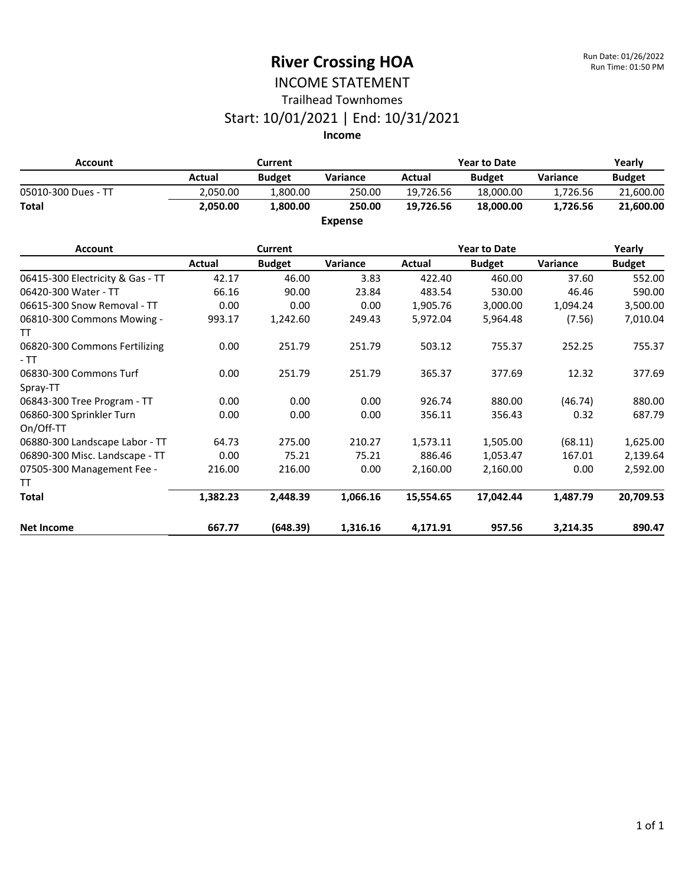#### INCOME STATEMENT Trailhead Townhomes

#### Start: 10/01/2021 | End: 10/31/2021

**Income**

| <b>Account</b>                         | <b>Current</b> |                |                | <b>Year to Date</b> |                     |          | Yearly        |
|----------------------------------------|----------------|----------------|----------------|---------------------|---------------------|----------|---------------|
|                                        | <b>Actual</b>  | <b>Budget</b>  | Variance       | Actual              | <b>Budget</b>       | Variance | <b>Budget</b> |
| 05010-300 Dues - TT                    | 2,050.00       | 1,800.00       | 250.00         | 19,726.56           | 18,000.00           | 1,726.56 | 21,600.00     |
| <b>Total</b>                           | 2.050.00       | 1.800.00       | 250.00         | 19,726.56           | 18,000.00           | 1.726.56 | 21,600.00     |
|                                        |                |                | <b>Expense</b> |                     |                     |          |               |
| <b>Account</b>                         |                | <b>Current</b> |                |                     | <b>Year to Date</b> |          | Yearly        |
|                                        | <b>Actual</b>  | <b>Budget</b>  | Variance       | <b>Actual</b>       | <b>Budget</b>       | Variance | <b>Budget</b> |
| 06415-300 Electricity & Gas - TT       | 42.17          | 46.00          | 3.83           | 422.40              | 460.00              | 37.60    | 552.00        |
| 06420-300 Water - TT                   | 66.16          | 90.00          | 23.84          | 483.54              | 530.00              | 46.46    | 590.00        |
| 06615-300 Snow Removal - TT            | 0.00           | 0.00           | 0.00           | 1,905.76            | 3,000.00            | 1,094.24 | 3,500.00      |
| 06810-300 Commons Mowing -             | 993.17         | 1,242.60       | 249.43         | 5,972.04            | 5,964.48            | (7.56)   | 7,010.04      |
| TT                                     |                |                |                |                     |                     |          |               |
| 06820-300 Commons Fertilizing<br>$-TT$ | 0.00           | 251.79         | 251.79         | 503.12              | 755.37              | 252.25   | 755.37        |
| 06830-300 Commons Turf                 | 0.00           | 251.79         | 251.79         | 365.37              | 377.69              | 12.32    | 377.69        |
| Spray-TT                               |                |                |                |                     |                     |          |               |
| 06843-300 Tree Program - TT            | 0.00           | 0.00           | 0.00           | 926.74              | 880.00              | (46.74)  | 880.00        |
| 06860-300 Sprinkler Turn               | 0.00           | 0.00           | 0.00           | 356.11              | 356.43              | 0.32     | 687.79        |
| On/Off-TT                              |                |                |                |                     |                     |          |               |
| 06880-300 Landscape Labor - TT         | 64.73          | 275.00         | 210.27         | 1,573.11            | 1,505.00            | (68.11)  | 1,625.00      |
| 06890-300 Misc. Landscape - TT         | 0.00           | 75.21          | 75.21          | 886.46              | 1,053.47            | 167.01   | 2,139.64      |
| 07505-300 Management Fee -             | 216.00         | 216.00         | 0.00           | 2,160.00            | 2,160.00            | 0.00     | 2,592.00      |
| TT                                     |                |                |                |                     |                     |          |               |
| <b>Total</b>                           | 1,382.23       | 2,448.39       | 1,066.16       | 15,554.65           | 17,042.44           | 1,487.79 | 20,709.53     |

**Net Income 667.77 (648.39) 1,316.16 4,171.91 957.56 3,214.35 890.47**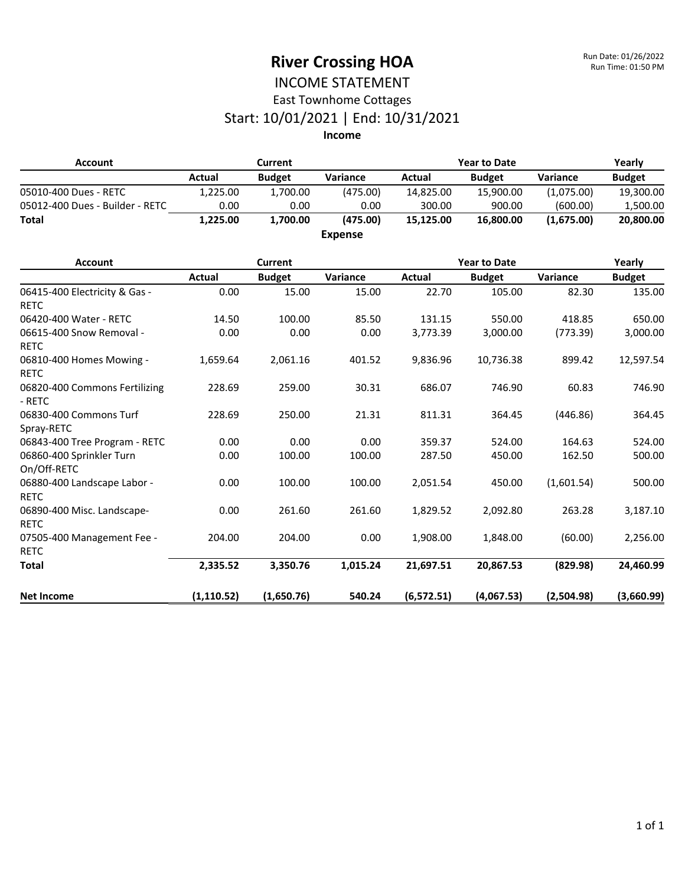#### INCOME STATEMENT East Townhome Cottages

# Start: 10/01/2021 | End: 10/31/2021

| <b>Account</b>                               | <b>Current</b> |                |                | <b>Year to Date</b> |                     |            | Yearly        |
|----------------------------------------------|----------------|----------------|----------------|---------------------|---------------------|------------|---------------|
|                                              | <b>Actual</b>  | <b>Budget</b>  | Variance       | <b>Actual</b>       | <b>Budget</b>       | Variance   | <b>Budget</b> |
| 05010-400 Dues - RETC                        | 1,225.00       | 1,700.00       | (475.00)       | 14,825.00           | 15,900.00           | (1,075.00) | 19,300.00     |
| 05012-400 Dues - Builder - RETC              | 0.00           | 0.00           | 0.00           | 300.00              | 900.00              | (600.00)   | 1,500.00      |
| <b>Total</b>                                 | 1,225.00       | 1,700.00       | (475.00)       | 15,125.00           | 16,800.00           | (1,675.00) | 20,800.00     |
|                                              |                |                | <b>Expense</b> |                     |                     |            |               |
| <b>Account</b>                               |                | <b>Current</b> |                |                     | <b>Year to Date</b> |            | Yearly        |
|                                              | Actual         | <b>Budget</b>  | Variance       | <b>Actual</b>       | <b>Budget</b>       | Variance   | <b>Budget</b> |
| 06415-400 Electricity & Gas -<br><b>RETC</b> | 0.00           | 15.00          | 15.00          | 22.70               | 105.00              | 82.30      | 135.00        |
| 06420-400 Water - RETC                       | 14.50          | 100.00         | 85.50          | 131.15              | 550.00              | 418.85     | 650.00        |
| 06615-400 Snow Removal -<br><b>RETC</b>      | 0.00           | 0.00           | 0.00           | 3,773.39            | 3,000.00            | (773.39)   | 3,000.00      |
| 06810-400 Homes Mowing -<br><b>RETC</b>      | 1,659.64       | 2,061.16       | 401.52         | 9,836.96            | 10,736.38           | 899.42     | 12,597.54     |
| 06820-400 Commons Fertilizing<br>- RETC      | 228.69         | 259.00         | 30.31          | 686.07              | 746.90              | 60.83      | 746.90        |
| 06830-400 Commons Turf<br>Spray-RETC         | 228.69         | 250.00         | 21.31          | 811.31              | 364.45              | (446.86)   | 364.45        |
| 06843-400 Tree Program - RETC                | 0.00           | 0.00           | 0.00           | 359.37              | 524.00              | 164.63     | 524.00        |
| 06860-400 Sprinkler Turn<br>On/Off-RETC      | 0.00           | 100.00         | 100.00         | 287.50              | 450.00              | 162.50     | 500.00        |
| 06880-400 Landscape Labor -<br><b>RETC</b>   | 0.00           | 100.00         | 100.00         | 2,051.54            | 450.00              | (1,601.54) | 500.00        |
| 06890-400 Misc. Landscape-<br><b>RETC</b>    | 0.00           | 261.60         | 261.60         | 1,829.52            | 2,092.80            | 263.28     | 3,187.10      |
| 07505-400 Management Fee -<br><b>RETC</b>    | 204.00         | 204.00         | 0.00           | 1,908.00            | 1,848.00            | (60.00)    | 2,256.00      |
| <b>Total</b>                                 | 2,335.52       | 3,350.76       | 1,015.24       | 21,697.51           | 20,867.53           | (829.98)   | 24,460.99     |
| <b>Net Income</b>                            | (1, 110.52)    | (1,650.76)     | 540.24         | (6, 572.51)         | (4,067.53)          | (2,504.98) | (3,660.99)    |